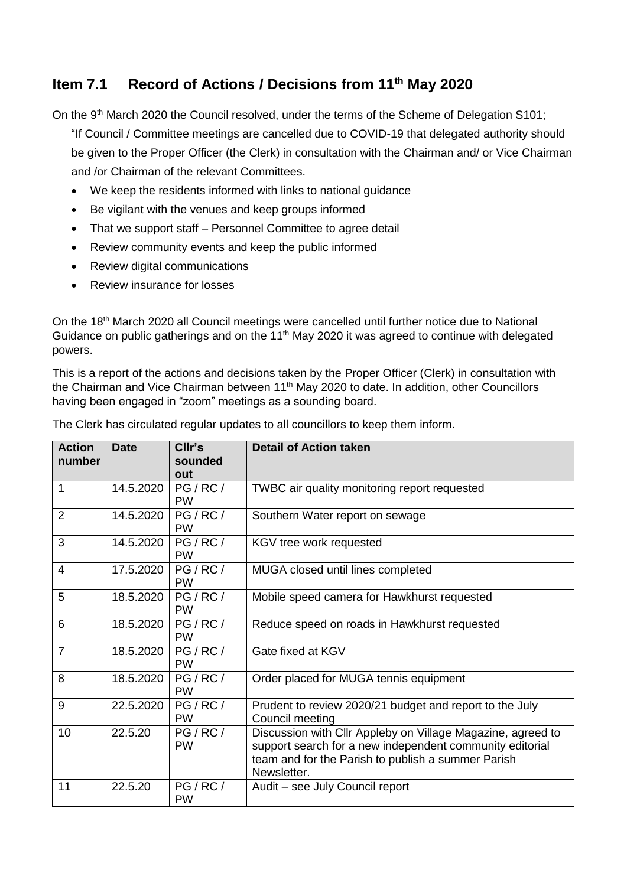## **Item 7.1 Record of Actions / Decisions from 11 th May 2020**

On the 9<sup>th</sup> March 2020 the Council resolved, under the terms of the Scheme of Delegation S101;

"If Council / Committee meetings are cancelled due to COVID-19 that delegated authority should be given to the Proper Officer (the Clerk) in consultation with the Chairman and/ or Vice Chairman and /or Chairman of the relevant Committees.

- We keep the residents informed with links to national guidance
- Be vigilant with the venues and keep groups informed
- That we support staff Personnel Committee to agree detail
- Review community events and keep the public informed
- Review digital communications
- Review insurance for losses

On the 18<sup>th</sup> March 2020 all Council meetings were cancelled until further notice due to National Guidance on public gatherings and on the 11<sup>th</sup> May 2020 it was agreed to continue with delegated powers.

This is a report of the actions and decisions taken by the Proper Officer (Clerk) in consultation with the Chairman and Vice Chairman between 11<sup>th</sup> May 2020 to date. In addition, other Councillors having been engaged in "zoom" meetings as a sounding board.

| <b>Action</b><br>number | <b>Date</b> | CIIr's<br>sounded<br>out | <b>Detail of Action taken</b>                                                                                                                                                                |
|-------------------------|-------------|--------------------------|----------------------------------------------------------------------------------------------------------------------------------------------------------------------------------------------|
| $\mathbf{1}$            | 14.5.2020   | PG/RC/<br><b>PW</b>      | TWBC air quality monitoring report requested                                                                                                                                                 |
| $\overline{2}$          | 14.5.2020   | PG / RC /<br><b>PW</b>   | Southern Water report on sewage                                                                                                                                                              |
| 3                       | 14.5.2020   | PG/RC/<br><b>PW</b>      | KGV tree work requested                                                                                                                                                                      |
| $\overline{4}$          | 17.5.2020   | PG/RC/<br><b>PW</b>      | MUGA closed until lines completed                                                                                                                                                            |
| 5                       | 18.5.2020   | PG/RC/<br><b>PW</b>      | Mobile speed camera for Hawkhurst requested                                                                                                                                                  |
| 6                       | 18.5.2020   | PG / RC /<br><b>PW</b>   | Reduce speed on roads in Hawkhurst requested                                                                                                                                                 |
| $\overline{7}$          | 18.5.2020   | PG/RC/<br><b>PW</b>      | Gate fixed at KGV                                                                                                                                                                            |
| 8                       | 18.5.2020   | PG/RC/<br><b>PW</b>      | Order placed for MUGA tennis equipment                                                                                                                                                       |
| 9                       | 22.5.2020   | PG/RC/<br><b>PW</b>      | Prudent to review 2020/21 budget and report to the July<br>Council meeting                                                                                                                   |
| 10                      | 22.5.20     | PG / RC /<br><b>PW</b>   | Discussion with Cllr Appleby on Village Magazine, agreed to<br>support search for a new independent community editorial<br>team and for the Parish to publish a summer Parish<br>Newsletter. |
| 11                      | 22.5.20     | PG/RC/<br><b>PW</b>      | Audit - see July Council report                                                                                                                                                              |

The Clerk has circulated regular updates to all councillors to keep them inform.